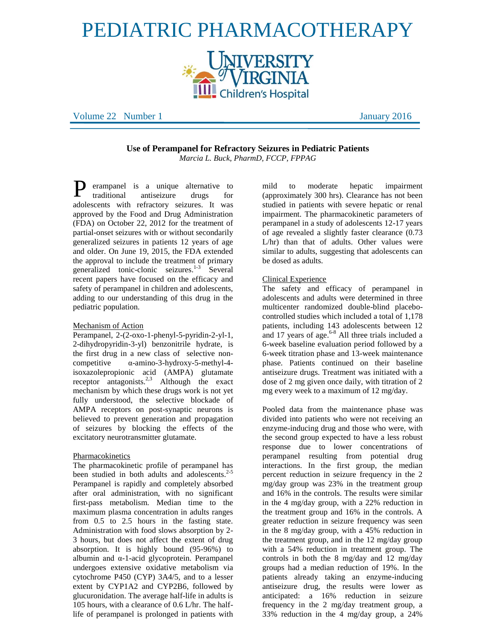# PEDIATRIC PHARMACOTHERAPY



Volume 22 Number 1 January 2016

**Use of Perampanel for Refractory Seizures in Pediatric Patients** *Marcia L. Buck, PharmD, FCCP, FPPAG*

erampanel is a unique alternative to traditional antiseizure drugs for adolescents with refractory seizures. It was approved by the Food and Drug Administration (FDA) on October 22, 2012 for the treatment of partial-onset seizures with or without secondarily generalized seizures in patients 12 years of age and older. On June 19, 2015, the FDA extended the approval to include the treatment of primary generalized tonic-clonic seizures. 1-3 Several recent papers have focused on the efficacy and safety of perampanel in children and adolescents, adding to our understanding of this drug in the pediatric population. P

## Mechanism of Action

Perampanel, 2-(2-oxo-1-phenyl-5-pyridin-2-yl-1, 2-dihydropyridin-3-yl) benzonitrile hydrate, is the first drug in a new class of selective noncompetitive α-amino-3-hydroxy-5-methyl-4 isoxazolepropionic acid (AMPA) glutamate receptor antagonists.<sup>2,3</sup> Although the exact mechanism by which these drugs work is not yet fully understood, the selective blockade of AMPA receptors on post-synaptic neurons is believed to prevent generation and propagation of seizures by blocking the effects of the excitatory neurotransmitter glutamate.

## Pharmacokinetics

The pharmacokinetic profile of perampanel has been studied in both adults and adolescents.<sup>2-5</sup> Perampanel is rapidly and completely absorbed after oral administration, with no significant first-pass metabolism. Median time to the maximum plasma concentration in adults ranges from 0.5 to 2.5 hours in the fasting state. Administration with food slows absorption by 2- 3 hours, but does not affect the extent of drug absorption. It is highly bound (95-96%) to albumin and α-1-acid glycoprotein. Perampanel undergoes extensive oxidative metabolism via cytochrome P450 (CYP) 3A4/5, and to a lesser extent by CYP1A2 and CYP2B6, followed by glucuronidation. The average half-life in adults is 105 hours, with a clearance of 0.6 L/hr. The halflife of perampanel is prolonged in patients with mild to moderate hepatic impairment (approximately 300 hrs). Clearance has not been studied in patients with severe hepatic or renal impairment. The pharmacokinetic parameters of perampanel in a study of adolescents 12-17 years of age revealed a slightly faster clearance (0.73 L/hr) than that of adults. Other values were similar to adults, suggesting that adolescents can be dosed as adults.

#### Clinical Experience

The safety and efficacy of perampanel in adolescents and adults were determined in three multicenter randomized double-blind placebocontrolled studies which included a total of 1,178 patients, including 143 adolescents between 12 and 17 years of age.<sup>6-8</sup> All three trials included a 6-week baseline evaluation period followed by a 6-week titration phase and 13-week maintenance phase. Patients continued on their baseline antiseizure drugs. Treatment was initiated with a dose of 2 mg given once daily, with titration of 2 mg every week to a maximum of 12 mg/day.

Pooled data from the maintenance phase was divided into patients who were not receiving an enzyme-inducing drug and those who were, with the second group expected to have a less robust response due to lower concentrations of perampanel resulting from potential drug interactions. In the first group, the median percent reduction in seizure frequency in the 2 mg/day group was 23% in the treatment group and 16% in the controls. The results were similar in the 4 mg/day group, with a 22% reduction in the treatment group and 16% in the controls. A greater reduction in seizure frequency was seen in the 8 mg/day group, with a 45% reduction in the treatment group, and in the 12 mg/day group with a 54% reduction in treatment group. The controls in both the 8 mg/day and 12 mg/day groups had a median reduction of 19%. In the patients already taking an enzyme-inducing antiseizure drug, the results were lower as anticipated: a 16% reduction in seizure frequency in the 2 mg/day treatment group, a 33% reduction in the 4 mg/day group, a 24%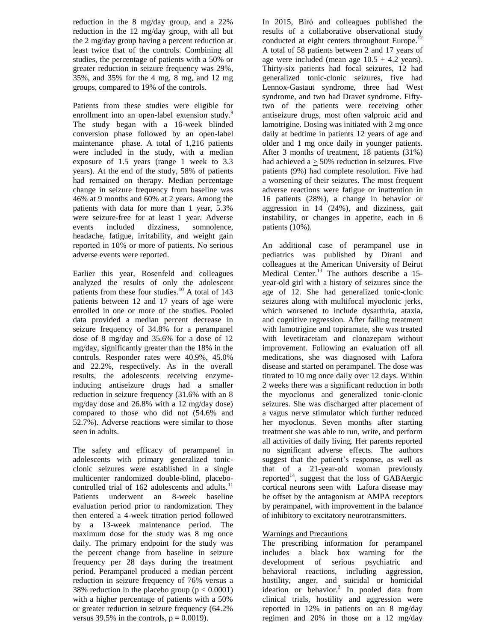reduction in the 8 mg/day group, and a 22% reduction in the 12 mg/day group, with all but the 2 mg/day group having a percent reduction at least twice that of the controls. Combining all studies, the percentage of patients with a 50% or greater reduction in seizure frequency was 29%, 35%, and 35% for the 4 mg, 8 mg, and 12 mg groups, compared to 19% of the controls.

Patients from these studies were eligible for enrollment into an open-label extension study.<sup>9</sup> The study began with a 16-week blinded conversion phase followed by an open-label maintenance phase. A total of 1,216 patients were included in the study, with a median exposure of 1.5 years (range 1 week to 3.3 years). At the end of the study, 58% of patients had remained on therapy. Median percentage change in seizure frequency from baseline was 46% at 9 months and 60% at 2 years. Among the patients with data for more than 1 year, 5.3% were seizure-free for at least 1 year. Adverse events included dizziness, somnolence, headache, fatigue, irritability, and weight gain reported in 10% or more of patients. No serious adverse events were reported.

Earlier this year, Rosenfeld and colleagues analyzed the results of only the adolescent patients from these four studies.<sup>10</sup> A total of 143 patients between 12 and 17 years of age were enrolled in one or more of the studies. Pooled data provided a median percent decrease in seizure frequency of 34.8% for a perampanel dose of 8 mg/day and 35.6% for a dose of 12 mg/day, significantly greater than the 18% in the controls. Responder rates were 40.9%, 45.0% and 22.2%, respectively. As in the overall results, the adolescents receiving enzymeinducing antiseizure drugs had a smaller reduction in seizure frequency (31.6% with an 8 mg/day dose and 26.8% with a 12 mg/day dose) compared to those who did not (54.6% and 52.7%). Adverse reactions were similar to those seen in adults.

The safety and efficacy of perampanel in adolescents with primary generalized tonicclonic seizures were established in a single multicenter randomized double-blind, placebocontrolled trial of 162 adolescents and adults.<sup>11</sup> Patients underwent an 8-week baseline evaluation period prior to randomization. They then entered a 4-week titration period followed by a 13-week maintenance period. The maximum dose for the study was 8 mg once daily. The primary endpoint for the study was the percent change from baseline in seizure frequency per 28 days during the treatment period. Perampanel produced a median percent reduction in seizure frequency of 76% versus a 38% reduction in the placebo group ( $p < 0.0001$ ) with a higher percentage of patients with a 50% or greater reduction in seizure frequency (64.2% versus 39.5% in the controls,  $p = 0.0019$ .

In 2015, Birό and colleagues published the results of a collaborative observational study conducted at eight centers throughout Europe.<sup>1</sup> A total of 58 patients between 2 and 17 years of age were included (mean age  $10.5 + 4.2$  years). Thirty-six patients had focal seizures, 12 had generalized tonic-clonic seizures, five had Lennox-Gastaut syndrome, three had West syndrome, and two had Dravet syndrome. Fiftytwo of the patients were receiving other antiseizure drugs, most often valproic acid and lamotrigine. Dosing was initiated with 2 mg once daily at bedtime in patients 12 years of age and older and 1 mg once daily in younger patients. After 3 months of treatment, 18 patients (31%) had achieved  $a > 50\%$  reduction in seizures. Five patients (9%) had complete resolution. Five had a worsening of their seizures. The most frequent adverse reactions were fatigue or inattention in 16 patients (28%), a change in behavior or aggression in 14 (24%), and dizziness, gait instability, or changes in appetite, each in 6 patients (10%).

An additional case of perampanel use in pediatrics was published by Dirani and colleagues at the American University of Beirut Medical Center.<sup>13</sup> The authors describe a 15year-old girl with a history of seizures since the age of 12. She had generalized tonic-clonic seizures along with multifocal myoclonic jerks, which worsened to include dysarthria, ataxia, and cognitive regression. After failing treatment with lamotrigine and topiramate, she was treated with levetiracetam and clonazepam without improvement. Following an evaluation off all medications, she was diagnosed with Lafora disease and started on perampanel. The dose was titrated to 10 mg once daily over 12 days. Within 2 weeks there was a significant reduction in both the myoclonus and generalized tonic-clonic seizures. She was discharged after placement of a vagus nerve stimulator which further reduced her myoclonus. Seven months after starting treatment she was able to run, write, and perform all activities of daily living. Her parents reported no significant adverse effects. The authors suggest that the patient's response, as well as that of a 21-year-old woman previously reported<sup>14</sup>, suggest that the loss of  $\widehat{G}$ ABAergic cortical neurons seen with Lafora disease may be offset by the antagonism at AMPA receptors by perampanel, with improvement in the balance of inhibitory to excitatory neurotransmitters.

## Warnings and Precautions

The prescribing information for perampanel includes a black box warning for the development of serious psychiatric and behavioral reactions, including aggression, hostility, anger, and suicidal or homicidal ideation or behavior. 2 In pooled data from clinical trials, hostility and aggression were reported in 12% in patients on an 8 mg/day regimen and 20% in those on a 12 mg/day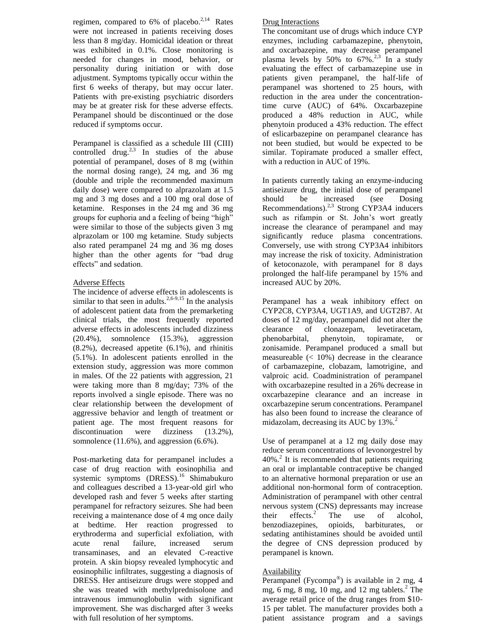regimen, compared to 6% of placebo. $^{2,14}$  Rates were not increased in patients receiving doses less than 8 mg/day. Homicidal ideation or threat was exhibited in 0.1%. Close monitoring is needed for changes in mood, behavior, or personality during initiation or with dose adjustment. Symptoms typically occur within the first 6 weeks of therapy, but may occur later. Patients with pre-existing psychiatric disorders may be at greater risk for these adverse effects. Perampanel should be discontinued or the dose reduced if symptoms occur.

Perampanel is classified as a schedule III (CIII) controlled drug.<sup>2,3</sup> In studies of the abuse potential of perampanel, doses of 8 mg (within the normal dosing range), 24 mg, and 36 mg (double and triple the recommended maximum daily dose) were compared to alprazolam at 1.5 mg and 3 mg doses and a 100 mg oral dose of ketamine. Responses in the 24 mg and 36 mg groups for euphoria and a feeling of being "high" were similar to those of the subjects given 3 mg alprazolam or 100 mg ketamine. Study subjects also rated perampanel 24 mg and 36 mg doses higher than the other agents for "bad drug effects" and sedation.

# Adverse Effects

The incidence of adverse effects in adolescents is similar to that seen in adults.<sup>2,6-9,15</sup> In the analysis of adolescent patient data from the premarketing clinical trials, the most frequently reported adverse effects in adolescents included dizziness (20.4%), somnolence (15.3%), aggression (8.2%), decreased appetite (6.1%), and rhinitis (5.1%). In adolescent patients enrolled in the extension study, aggression was more common in males. Of the 22 patients with aggression, 21 were taking more than 8 mg/day; 73% of the reports involved a single episode. There was no clear relationship between the development of aggressive behavior and length of treatment or patient age. The most frequent reasons for discontinuation were dizziness (13.2%), somnolence (11.6%), and aggression (6.6%).

Post-marketing data for perampanel includes a case of drug reaction with eosinophilia and systemic symptoms (DRESS).<sup>16</sup> Shimabukuro and colleagues described a 13-year-old girl who developed rash and fever 5 weeks after starting perampanel for refractory seizures. She had been receiving a maintenance dose of 4 mg once daily at bedtime. Her reaction progressed to erythroderma and superficial exfoliation, with acute renal failure, increased serum transaminases, and an elevated C-reactive protein. A skin biopsy revealed lymphocytic and eosinophilic infiltrates, suggesting a diagnosis of DRESS. Her antiseizure drugs were stopped and she was treated with methylprednisolone and intravenous immunoglobulin with significant improvement. She was discharged after 3 weeks with full resolution of her symptoms.

# Drug Interactions

The concomitant use of drugs which induce CYP enzymes, including carbamazepine, phenytoin, and oxcarbazepine, may decrease perampanel plasma levels by 50% to  $67\%$ <sup>2,3</sup> In a study evaluating the effect of carbamazepine use in patients given perampanel, the half-life of perampanel was shortened to 25 hours, with reduction in the area under the concentrationtime curve (AUC) of 64%. Oxcarbazepine produced a 48% reduction in AUC, while phenytoin produced a 43% reduction. The effect of eslicarbazepine on perampanel clearance has not been studied, but would be expected to be similar. Topiramate produced a smaller effect, with a reduction in AUC of 19%.

In patients currently taking an enzyme-inducing antiseizure drug, the initial dose of perampanel should be increased (see Dosing Recommendations). $2,3$  Strong CYP3A4 inducers such as rifampin or St. John's wort greatly increase the clearance of perampanel and may significantly reduce plasma concentrations. Conversely, use with strong CYP3A4 inhibitors may increase the risk of toxicity. Administration of ketoconazole, with perampanel for 8 days prolonged the half-life perampanel by 15% and increased AUC by 20%.

Perampanel has a weak inhibitory effect on CYP2C8, CYP3A4, UGT1A9, and UGT2B7. At doses of 12 mg/day, perampanel did not alter the clearance of clonazepam, levetiracetam, phenobarbital, phenytoin, topiramate, or zonisamide. Perampanel produced a small but measureable  $(< 10\%)$  decrease in the clearance of carbamazepine, clobazam, lamotrigine, and valproic acid. Coadministration of perampanel with oxcarbazepine resulted in a 26% decrease in oxcarbazepine clearance and an increase in oxcarbazepine serum concentrations. Perampanel has also been found to increase the clearance of midazolam, decreasing its AUC by 13%.<sup>2</sup>

Use of perampanel at a 12 mg daily dose may reduce serum concentrations of levonorgestrel by 40%.<sup>2</sup> It is recommended that patients requiring an oral or implantable contraceptive be changed to an alternative hormonal preparation or use an additional non-hormonal form of contraception. Administration of perampanel with other central nervous system (CNS) depressants may increase their effects. $^{2}$  The use of alcohol, benzodiazepines, opioids, barbiturates, or sedating antihistamines should be avoided until the degree of CNS depression produced by perampanel is known.

# Availability

Perampanel (Fycompa®) is available in 2 mg, 4 mg, 6 mg, 8 mg, 10 mg, and 12 mg tablets. $\degree$  The average retail price of the drug ranges from \$10- 15 per tablet. The manufacturer provides both a patient assistance program and a savings